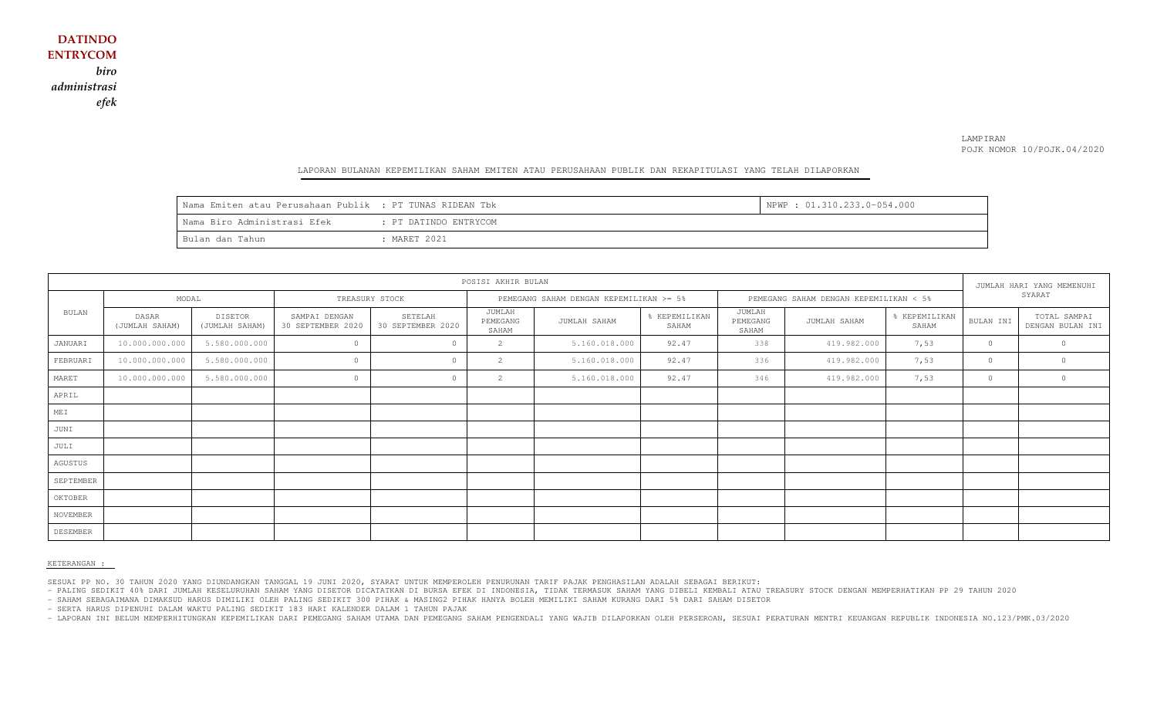### LAMPIRAN POJK NOMOR 10/POJK.04/2020

#### LAPORAN BULANAN KEPEMILIKAN SAHAM EMITEN ATAU PERUSAHAAN PUBLIK DAN REKAPITULASI YANG TELAH DILAPORKAN

| Nama Emiten atau Perusahaan Publik : PT TUNAS RIDEAN Tbk |                       | NPWP: 01.310.233.0-054.000 |
|----------------------------------------------------------|-----------------------|----------------------------|
| Nama Biro Administrasi Efek                              | : PT DATINDO ENTRYCOM |                            |
| Bulan dan Tahun                                          | : MARET 2021          |                            |

| POSISI AKHIR BULAN |                         |                                  |                                    |                              |                                         |               |                                        |                             |              | JUMLAH HARI YANG MEMENUHI |           |                                  |
|--------------------|-------------------------|----------------------------------|------------------------------------|------------------------------|-----------------------------------------|---------------|----------------------------------------|-----------------------------|--------------|---------------------------|-----------|----------------------------------|
|                    | MODAL                   |                                  | TREASURY STOCK                     |                              | PEMEGANG SAHAM DENGAN KEPEMILIKAN >= 5% |               | PEMEGANG SAHAM DENGAN KEPEMILIKAN < 5% |                             |              | SYARAT                    |           |                                  |
| BULAN              | DASAR<br>(JUMLAH SAHAM) | <b>DISETOR</b><br>(JUMLAH SAHAM) | SAMPAI DENGAN<br>30 SEPTEMBER 2020 | SETELAH<br>30 SEPTEMBER 2020 | JUMLAH<br>PEMEGANG<br>SAHAM             | JUMLAH SAHAM  | % KEPEMILIKAN<br>SAHAM                 | JUMLAH<br>PEMEGANG<br>SAHAM | JUMLAH SAHAM | % KEPEMILIKAN<br>SAHAM    | BULAN INI | TOTAL SAMPAI<br>DENGAN BULAN INI |
| JANUARI            | 10.000.000.000          | 5.580.000.000                    | $\circ$                            | $\circ$                      | 2                                       | 5.160.018.000 | 92.47                                  | 338                         | 419.982.000  | 7,53                      | $\circ$   |                                  |
| FEBRUARI           | 10.000.000.000          | 5.580.000.000                    | $\circ$                            | $\Omega$                     | 2                                       | 5.160.018.000 | 92.47                                  | 336                         | 419.982.000  | 7,53                      | $\circ$   | $\circ$                          |
| MARET              | 10.000.000.000          | 5.580.000.000                    | $\Omega$                           | $\Omega$                     | 2                                       | 5.160.018.000 | 92.47                                  | 346                         | 419.982.000  | 7,53                      | $\circ$   |                                  |
| APRIL              |                         |                                  |                                    |                              |                                         |               |                                        |                             |              |                           |           |                                  |
| MEI                |                         |                                  |                                    |                              |                                         |               |                                        |                             |              |                           |           |                                  |
| JUNI               |                         |                                  |                                    |                              |                                         |               |                                        |                             |              |                           |           |                                  |
| JULI               |                         |                                  |                                    |                              |                                         |               |                                        |                             |              |                           |           |                                  |
| AGUSTUS            |                         |                                  |                                    |                              |                                         |               |                                        |                             |              |                           |           |                                  |
| SEPTEMBER          |                         |                                  |                                    |                              |                                         |               |                                        |                             |              |                           |           |                                  |
| OKTOBER            |                         |                                  |                                    |                              |                                         |               |                                        |                             |              |                           |           |                                  |
| NOVEMBER           |                         |                                  |                                    |                              |                                         |               |                                        |                             |              |                           |           |                                  |
| DESEMBER           |                         |                                  |                                    |                              |                                         |               |                                        |                             |              |                           |           |                                  |

#### KETERANGAN :

SESUAI PP NO. 30 TAHUN 2020 YANG DIUNDANGKAN TANGGAL 19 JUNI 2020, SYARAT UNTUK MEMPEROLEH PENURUNAN TARIF PAJAK PENGHASILAN ADALAH SEBAGAI BERIKUT:

- PALING SEDIKIT 40% DARI JUMLAH KESELURUHAN SAHAM YANG DISETOR DICATATKAN DI BURSA EFEK DI INDONESIA, TIDAK TERMASUK SAHAM YANG DIBELI KEMBALI ATAU TREASURY STOCK DENGAN MEMPERHATIKAN PP 29 TAHUN 2020

- SAHAM SEBAGAIMANA DIMAKSUD HARUS DIMILIKI OLEH PALING SEDIKIT 300 PIHAK & MASING2 PIHAK HANYA BOLEH MEMILIKI SAHAM KURANG DARI 5% DARI SAHAM DISETOR

- SERTA HARUS DIPENUHI DALAM WAKTU PALING SEDIKIT 183 HARI KALENDER DALAM 1 TAHUN PAJAK

- LAPORAN INI BELUM MEMPERHITUNGKAN KEPEMILIKAN DARI PEMEGANG SAHAM UTAMA DAN PEMEGANG SAHAM PENGENDALI YANG WAJIB DILAPORKAN OLEH PERSEROAN, SESUAI PERATURAN MENTRI KEUANGAN REPUBLIK INDONESIA NO.123/PMK.03/2020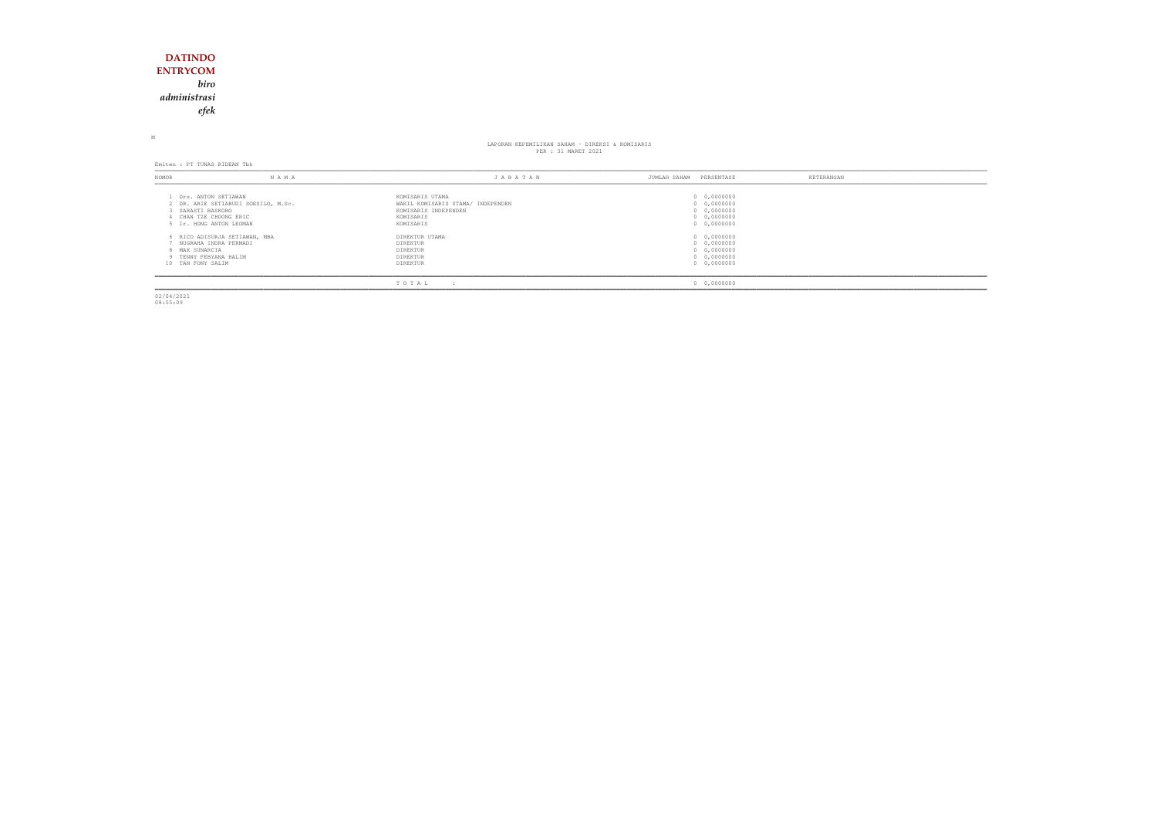## **DATINDO ENTRYCOM** *biro administrasiefek*

M

# LAPORAN KEPEMILIKAN SAHAM - DIREKSI & KOMISARIS PER : 31 MARET 2021

Emiten : PT TUNAS RIDEAN Tbk

| NOMOR                                                                                     | NAMA                                | JABATAN                                                                                                | PERSENTASE<br>JUMLAH SAHAM                                              | KETERANGAN |
|-------------------------------------------------------------------------------------------|-------------------------------------|--------------------------------------------------------------------------------------------------------|-------------------------------------------------------------------------|------------|
| Drs. ANTON SETIAWAN<br>SARASTI BASKORO<br>CHAN TZE CHOONG ERIC<br>5 Ir. HONG ANTON LEOMAN | 2 DR. ARIE SETIABUDI SOESILO, M.Sc. | KOMISARIS UTAMA<br>WAKIL KOMISARIS UTAMA/ INDEPENDEN<br>KOMISARIS INDEPENDEN<br>KOMISARIS<br>KOMISARIS | 0 0,0000000<br>0 0,0000000<br>0 0,0000000<br>0 0,0000000<br>0 0,0000000 |            |
| NUGRAHA INDRA PERMADI<br>8 MAX SUNARCIA<br>9 TENNY FEBYANA HALIM<br>10 TAN FONY SALIM     | 6 RICO ADISURJA SETIAWAN, MBA       | DIREKTUR UTAMA<br>DIREKTUR<br>DIREKTUR<br>DIREKTUR<br>DIREKTUR                                         | 0 0,0000000<br>0 0,0000000<br>0 0,0000000<br>0 0,0000000<br>0 0,0000000 |            |
|                                                                                           |                                     | TOTAL<br>$\cdot$                                                                                       | 0 0,0000000                                                             |            |

02/04/2021 08:55:09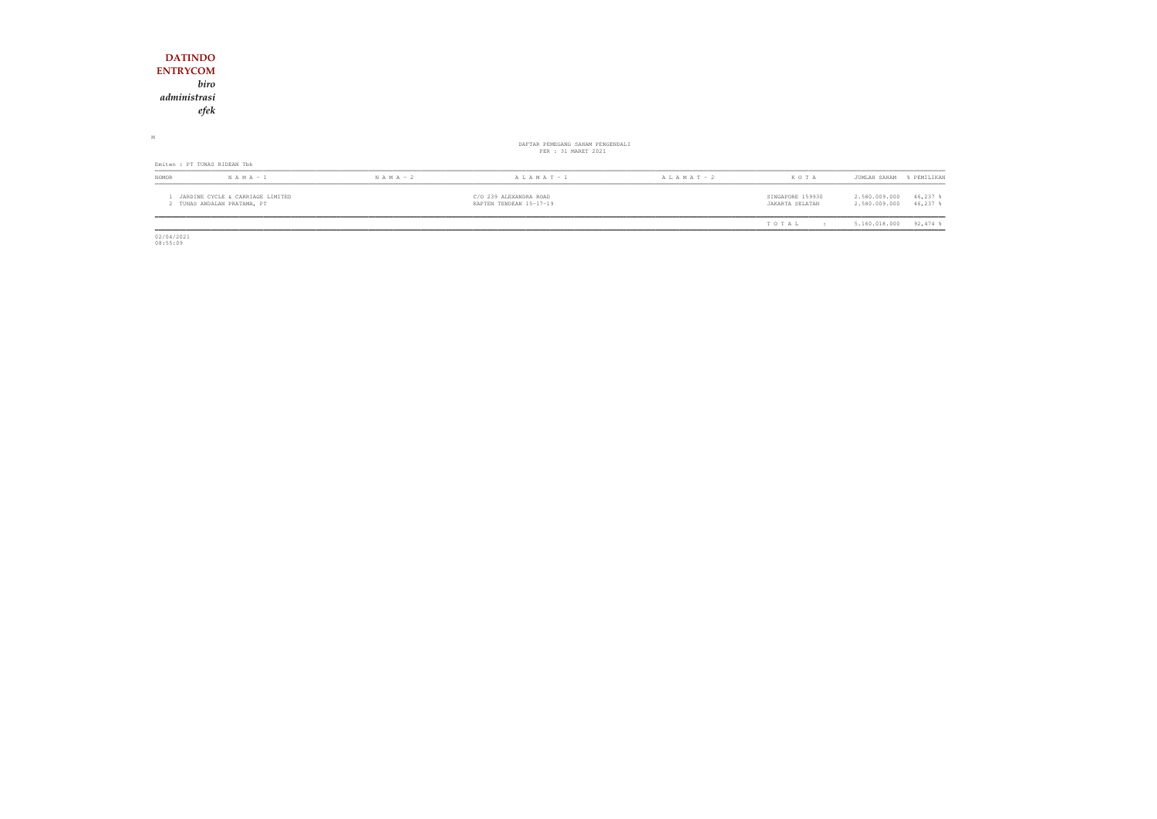| <b>DATINDO</b>                                                  |               |                                                         |                 |                                     |                                                           |
|-----------------------------------------------------------------|---------------|---------------------------------------------------------|-----------------|-------------------------------------|-----------------------------------------------------------|
| <b>ENTRYCOM</b>                                                 |               |                                                         |                 |                                     |                                                           |
| biro                                                            |               |                                                         |                 |                                     |                                                           |
| administrasi                                                    |               |                                                         |                 |                                     |                                                           |
| efek                                                            |               |                                                         |                 |                                     |                                                           |
|                                                                 |               |                                                         |                 |                                     |                                                           |
| М                                                               |               | DAFTAR PEMEGANG SAHAM PENGENDALI<br>PER : 31 MARET 2021 |                 |                                     |                                                           |
| Emiten : PT TUNAS RIDEAN Tbk                                    |               |                                                         |                 |                                     |                                                           |
| $N A M A - 1$<br>NOMOR                                          | $N A M A - 2$ | $A L A M A T - 1$                                       | A L A M A T - 2 | KOTA                                | JUMLAH SAHAM<br>% PEMILIKAN                               |
| JARDINE CYCLE & CARRIAGE LIMITED<br>2 TUNAS ANDALAN PRATAMA, PT |               | C/O 239 ALEXANDRA ROAD<br>KAPTEN TENDEAN 15-17-19       |                 | SINGAPORE 159930<br>JAKARTA SELATAN | 2.580.009.000<br>46,237 %<br>2.580.009.000<br>$46,237$ \$ |
|                                                                 |               |                                                         |                 | TOTAL<br>$\cdot$ :                  | $92,474$ %<br>5.160.018.000                               |

 $02/04/2021$ 08:55:09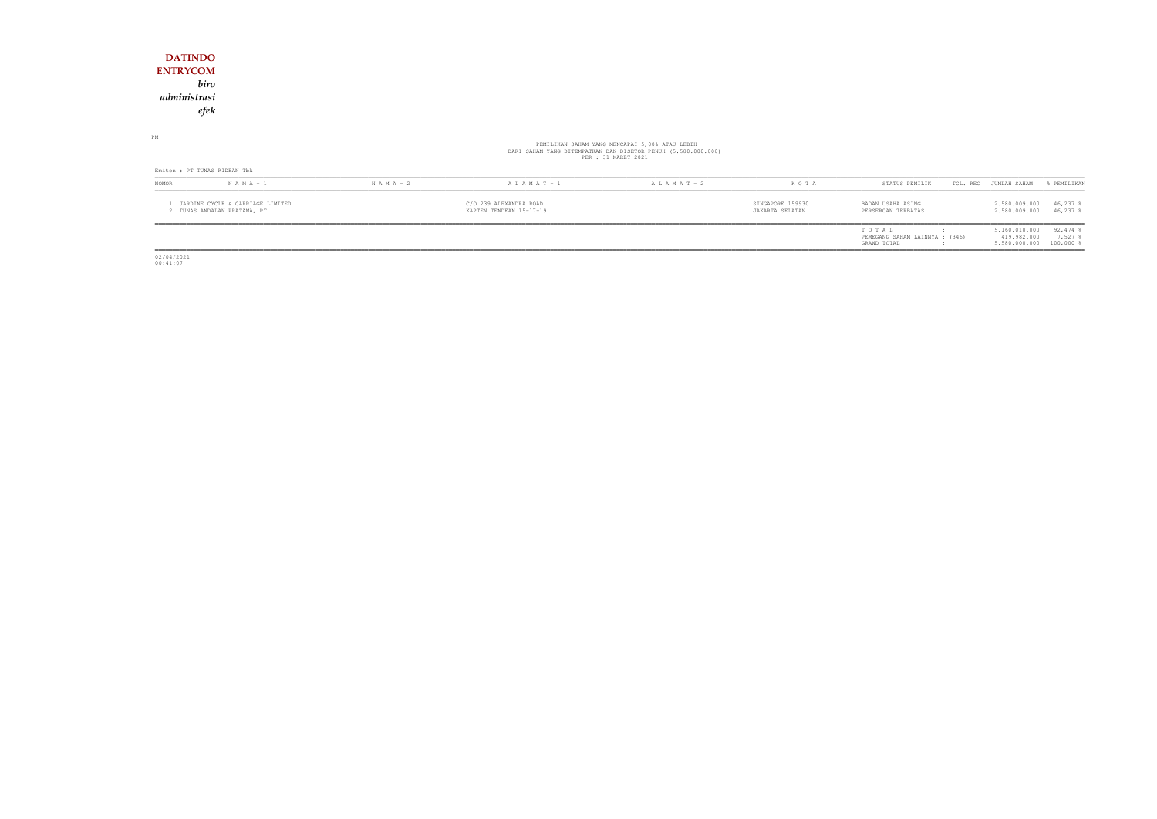## **DATINDO ENTRYCOM** *biro administrasiefek*

PM

# PEMILIKAN SAHAM YANG MENCAPAI 5,00% ATAU LEBIH<br>DARI SAHAM YANG DITEMPATKAN DAN DISETOR PENUH (5.580.000.000)<br>PER : 31 MARET 2021

|                                                               | Emiten : PT TUNAS RIDEAN Tbk |                                                   |                   |                 |                                     |                                                        |                                               |                                      |  |  |
|---------------------------------------------------------------|------------------------------|---------------------------------------------------|-------------------|-----------------|-------------------------------------|--------------------------------------------------------|-----------------------------------------------|--------------------------------------|--|--|
| <b>NOMOR</b>                                                  | $N A M A - 1$                | $N A M A - 2$                                     | $A L A M A T - 1$ | A L A M A T - 2 | KOTA                                | STATUS PEMILIK                                         | TGL. REG JUMLAH SAHAM                         | & PEMILIKAN                          |  |  |
| JARDINE CYCLE & CARRIAGE LIMITED<br>TUNAS ANDALAN PRATAMA, PT |                              | C/O 239 ALEXANDRA ROAD<br>KAPTEN TENDEAN 15-17-19 |                   |                 | SINGAPORE 159930<br>JAKARTA SELATAN | BADAN USAHA ASING<br>PERSEROAN TERBATAS                | 2.580.009.000<br>2.580.009.000                | 46,237<br>46,237 \$                  |  |  |
|                                                               |                              |                                                   |                   |                 |                                     | TOTAL<br>PEMEGANG SAHAM LAINNYA : (346)<br>GRAND TOTAL | 5.160.018.000<br>419.982.000<br>5.580.000.000 | $92,474$ \$<br>7,527<br>$100,000$ \$ |  |  |

02/04/2021 00:41:07